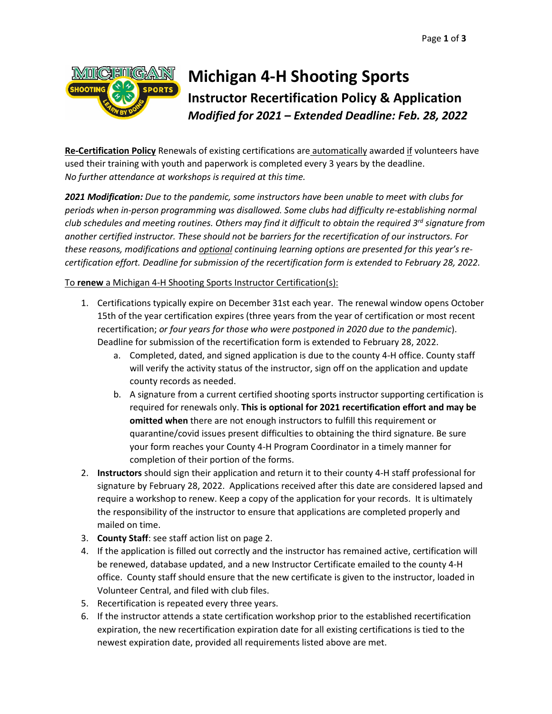

## **Michigan 4-H Shooting Sports Instructor Recertification Policy & Application** *Modified for 2021 – Extended Deadline: Feb. 28, 2022*

**Re-Certification Policy** Renewals of existing certifications are automatically awarded if volunteers have used their training with youth and paperwork is completed every 3 years by the deadline. *No further attendance at workshops is required at this time.*

*2021 Modification: Due to the pandemic, some instructors have been unable to meet with clubs for periods when in-person programming was disallowed. Some clubs had difficulty re-establishing normal club schedules and meeting routines. Others may find it difficult to obtain the required 3rd signature from another certified instructor. These should not be barriers for the recertification of our instructors. For these reasons, modifications and optional continuing learning options are presented for this year's recertification effort. Deadline for submission of the recertification form is extended to February 28, 2022.*

To **renew** a Michigan 4-H Shooting Sports Instructor Certification(s):

- 1. Certifications typically expire on December 31st each year. The renewal window opens October 15th of the year certification expires (three years from the year of certification or most recent recertification; *or four years for those who were postponed in 2020 due to the pandemic*). Deadline for submission of the recertification form is extended to February 28, 2022.
	- a. Completed, dated, and signed application is due to the county 4-H office. County staff will verify the activity status of the instructor, sign off on the application and update county records as needed.
	- b. A signature from a current certified shooting sports instructor supporting certification is required for renewals only. **This is optional for 2021 recertification effort and may be omitted when** there are not enough instructors to fulfill this requirement or quarantine/covid issues present difficulties to obtaining the third signature. Be sure your form reaches your County 4-H Program Coordinator in a timely manner for completion of their portion of the forms.
- 2. **Instructors** should sign their application and return it to their county 4-H staff professional for signature by February 28, 2022. Applications received after this date are considered lapsed and require a workshop to renew. Keep a copy of the application for your records. It is ultimately the responsibility of the instructor to ensure that applications are completed properly and mailed on time.
- 3. **County Staff**: see staff action list on page 2.
- 4. If the application is filled out correctly and the instructor has remained active, certification will be renewed, database updated, and a new Instructor Certificate emailed to the county 4-H office. County staff should ensure that the new certificate is given to the instructor, loaded in Volunteer Central, and filed with club files.
- 5. Recertification is repeated every three years.
- 6. If the instructor attends a state certification workshop prior to the established recertification expiration, the new recertification expiration date for all existing certifications is tied to the newest expiration date, provided all requirements listed above are met.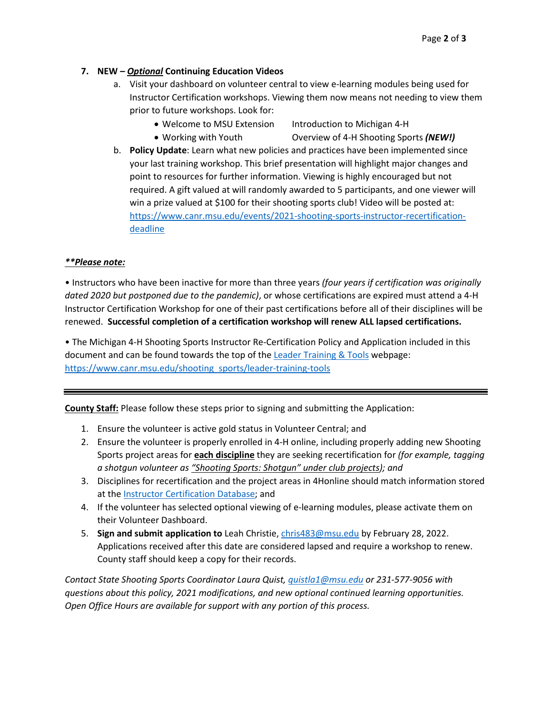## **7. NEW –** *Optional* **Continuing Education Videos**

- a. Visit your dashboard on volunteer central to view e-learning modules being used for Instructor Certification workshops. Viewing them now means not needing to view them prior to future workshops. Look for:
	- Welcome to MSU Extension Introduction to Michigan 4-H
	-
	- Working with Youth Overview of 4-H Shooting Sports *(NEW!)*
- b. **Policy Update**: Learn what new policies and practices have been implemented since your last training workshop. This brief presentation will highlight major changes and point to resources for further information. Viewing is highly encouraged but not required. A gift valued at will randomly awarded to 5 participants, and one viewer will win a prize valued at \$100 for their shooting sports club! Video will be posted at: [https://www.canr.msu.edu/events/2021-shooting-sports-instructor-recertification](https://www.canr.msu.edu/events/2021-shooting-sports-instructor-recertification-deadline)[deadline](https://www.canr.msu.edu/events/2021-shooting-sports-instructor-recertification-deadline)

## *\*\*Please note:*

• Instructors who have been inactive for more than three years *(four years if certification was originally dated 2020 but postponed due to the pandemic)*, or whose certifications are expired must attend a 4-H Instructor Certification Workshop for one of their past certifications before all of their disciplines will be renewed. **Successful completion of a certification workshop will renew ALL lapsed certifications.**

• The Michigan 4-H Shooting Sports Instructor Re-Certification Policy and Application included in this document and can be found towards the top of th[e Leader Training & Tools](https://www.canr.msu.edu/shooting_sports/leader-training-tools) webpage: [https://www.canr.msu.edu/shooting\\_sports/leader-training-tools](https://www.canr.msu.edu/shooting_sports/leader-training-tools)

**County Staff:** Please follow these steps prior to signing and submitting the Application:

- 1. Ensure the volunteer is active gold status in Volunteer Central; and
- 2. Ensure the volunteer is properly enrolled in 4-H online, including properly adding new Shooting Sports project areas for **each discipline** they are seeking recertification for *(for example, tagging a shotgun volunteer as "Shooting Sports: Shotgun" under club projects); and*
- 3. Disciplines for recertification and the project areas in 4Honline should match information stored at the [Instructor Certification Database;](https://4hshoot.msue.msu.edu/admin/instructors/) and
- 4. If the volunteer has selected optional viewing of e-learning modules, please activate them on their Volunteer Dashboard.
- 5. **Sign and submit application to** Leah Christie, [chris483@msu.edu](mailto:chris483@msu.edu) by February 28, 2022. Applications received after this date are considered lapsed and require a workshop to renew. County staff should keep a copy for their records.

*Contact State Shooting Sports Coordinator Laura Quist[, quistla1@msu.edu](mailto:quistla1@msu.edu) or 231-577-9056 with questions about this policy, 2021 modifications, and new optional continued learning opportunities. Open Office Hours are available for support with any portion of this process.*